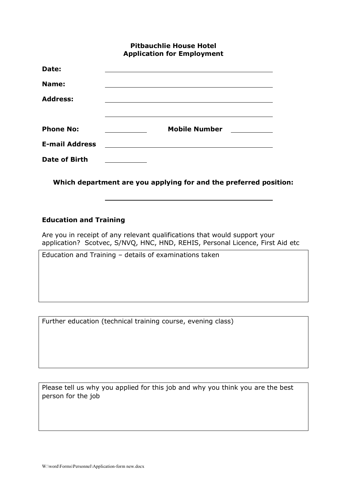## **Pitbauchlie House Hotel Application for Employment**

| Date:                 |                      |
|-----------------------|----------------------|
| Name:                 |                      |
| <b>Address:</b>       |                      |
|                       |                      |
| <b>Phone No:</b>      | <b>Mobile Number</b> |
| <b>E-mail Address</b> |                      |
| <b>Date of Birth</b>  |                      |

**Which department are you applying for and the preferred position:**

l,

## **Education and Training**

Are you in receipt of any relevant qualifications that would support your application? Scotvec, S/NVQ, HNC, HND, REHIS, Personal Licence, First Aid etc

Education and Training – details of examinations taken

Further education (technical training course, evening class)

Please tell us why you applied for this job and why you think you are the best person for the job